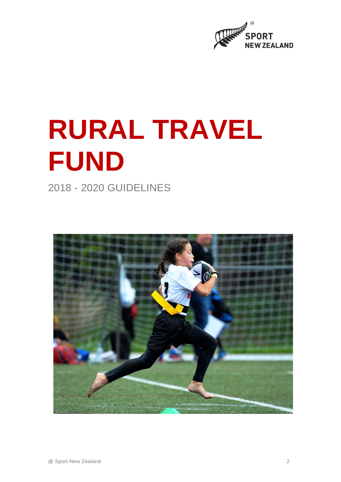

# **RURAL TRAVEL FUND**

2018 - 2020 GUIDELINES

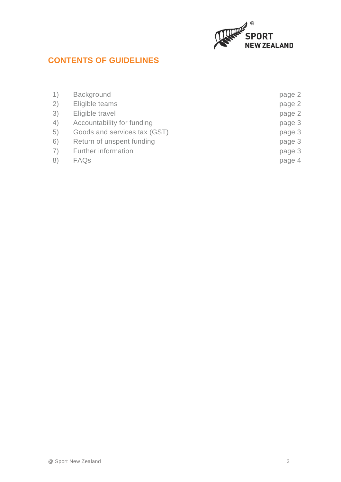

# **CONTENTS OF GUIDELINES**

| 1) | Background                   | page 2 |
|----|------------------------------|--------|
| 2) | Eligible teams               | page 2 |
| 3) | Eligible travel              | page 2 |
| 4) | Accountability for funding   | page 3 |
| 5) | Goods and services tax (GST) | page 3 |
| 6) | Return of unspent funding    | page 3 |
| 7) | <b>Further information</b>   | page 3 |
| 8) | FAQ <sub>S</sub>             | page 4 |
|    |                              |        |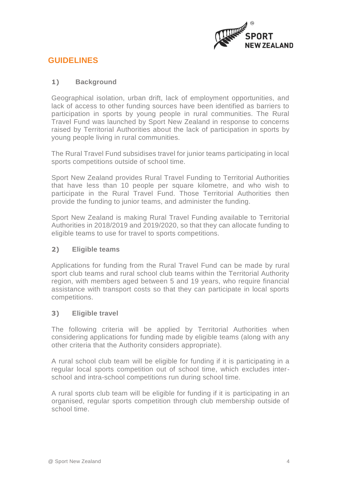

# **GUIDELINES**

# **1) Background**

Geographical isolation, urban drift, lack of employment opportunities, and lack of access to other funding sources have been identified as barriers to participation in sports by young people in rural communities. The Rural Travel Fund was launched by Sport New Zealand in response to concerns raised by Territorial Authorities about the lack of participation in sports by young people living in rural communities.

The Rural Travel Fund subsidises travel for junior teams participating in local sports competitions outside of school time.

Sport New Zealand provides Rural Travel Funding to Territorial Authorities that have less than 10 people per square kilometre, and who wish to participate in the Rural Travel Fund. Those Territorial Authorities then provide the funding to junior teams, and administer the funding.

Sport New Zealand is making Rural Travel Funding available to Territorial Authorities in 2018/2019 and 2019/2020, so that they can allocate funding to eligible teams to use for travel to sports competitions.

# **2) Eligible teams**

Applications for funding from the Rural Travel Fund can be made by rural sport club teams and rural school club teams within the Territorial Authority region, with members aged between 5 and 19 years, who require financial assistance with transport costs so that they can participate in local sports competitions.

# **3) Eligible travel**

The following criteria will be applied by Territorial Authorities when considering applications for funding made by eligible teams (along with any other criteria that the Authority considers appropriate).

A rural school club team will be eligible for funding if it is participating in a regular local sports competition out of school time, which excludes interschool and intra-school competitions run during school time.

A rural sports club team will be eligible for funding if it is participating in an organised, regular sports competition through club membership outside of school time.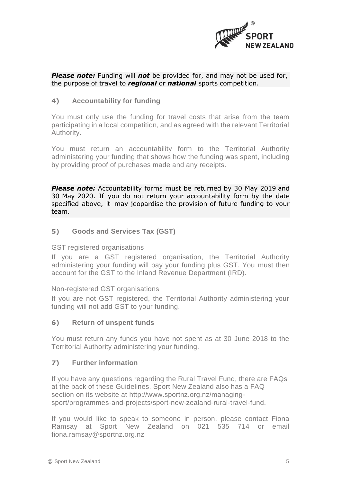

### *Please note:* Funding will *not* be provided for, and may not be used for, the purpose of travel to *regional* or *national* sports competition.

# **4) Accountability for funding**

You must only use the funding for travel costs that arise from the team participating in a local competition, and as agreed with the relevant Territorial Authority.

You must return an accountability form to the Territorial Authority administering your funding that shows how the funding was spent, including by providing proof of purchases made and any receipts.

*Please note:* Accountability forms must be returned by 30 May 2019 and 30 May 2020. If you do not return your accountability form by the date specified above, it may jeopardise the provision of future funding to your team.

### **5) Goods and Services Tax (GST)**

#### GST registered organisations

If you are a GST registered organisation, the Territorial Authority administering your funding will pay your funding plus GST. You must then account for the GST to the Inland Revenue Department (IRD).

#### Non-registered GST organisations

If you are not GST registered, the Territorial Authority administering your funding will not add GST to your funding.

#### **6) Return of unspent funds**

You must return any funds you have not spent as at 30 June 2018 to the Territorial Authority administering your funding.

#### **7) Further information**

If you have any questions regarding the Rural Travel Fund, there are FAQs at the back of these Guidelines. Sport New Zealand also has a FAQ section on its website at [http://www.sportnz.org.nz/managing](http://www.sportnz.org.nz/managing-sport/programmes-and-projects/sport-new-zealand-rural-travel-fund)[sport/programmes-and-projects/sport-new-zealand-rural-travel-fund.](http://www.sportnz.org.nz/managing-sport/programmes-and-projects/sport-new-zealand-rural-travel-fund)

If you would like to speak to someone in person, please contact Fiona Ramsay at Sport New Zealand on 021 535 714 or email [fiona.ramsay@sportnz.org.nz](mailto:fiona.ramsay@sportnz.org.nz)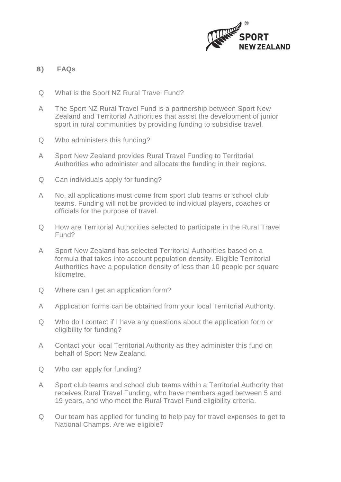

# **8) FAQs**

- Q What is the Sport NZ Rural Travel Fund?
- A The Sport NZ Rural Travel Fund is a partnership between Sport New Zealand and Territorial Authorities that assist the development of junior sport in rural communities by providing funding to subsidise travel.
- Q Who administers this funding?
- A Sport New Zealand provides Rural Travel Funding to Territorial Authorities who administer and allocate the funding in their regions.
- Q Can individuals apply for funding?
- A No, all applications must come from sport club teams or school club teams. Funding will not be provided to individual players, coaches or officials for the purpose of travel.
- Q How are Territorial Authorities selected to participate in the Rural Travel Fund?
- A Sport New Zealand has selected Territorial Authorities based on a formula that takes into account population density. Eligible Territorial Authorities have a population density of less than 10 people per square kilometre.
- Q Where can I get an application form?
- A Application forms can be obtained from your local Territorial Authority.
- Q Who do I contact if I have any questions about the application form or eligibility for funding?
- A Contact your local Territorial Authority as they administer this fund on behalf of Sport New Zealand.
- Q Who can apply for funding?
- A Sport club teams and school club teams within a Territorial Authority that receives Rural Travel Funding, who have members aged between 5 and 19 years, and who meet the Rural Travel Fund eligibility criteria.
- Q Our team has applied for funding to help pay for travel expenses to get to National Champs. Are we eligible?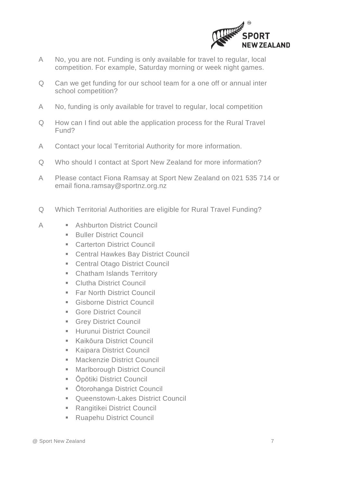

- A No, you are not. Funding is only available for travel to regular, local competition. For example, Saturday morning or week night games.
- Q Can we get funding for our school team for a one off or annual inter school competition?
- A No, funding is only available for travel to regular, local competition
- Q How can I find out able the application process for the Rural Travel Fund?
- A Contact your local Territorial Authority for more information.
- Q Who should I contact at Sport New Zealand for more information?
- A Please contact Fiona Ramsay at Sport New Zealand on 021 535 714 or email [fiona.ramsay@sportnz.org.nz](mailto:fiona.ramsay@sportnz.org.nz)
- Q Which Territorial Authorities are eligible for Rural Travel Funding?
- A **Executed Exercic** Ashburton District Council
	- **Buller District Council**
	- Carterton District Council
	- Central Hawkes Bay District Council
	- Central Otago District Council
	- **EXEC** Chatham Islands Territory
	- Clutha District Council
	- **Ear North District Council**
	- **Gisborne District Council**
	- **Gore District Council**
	- **E** Grey District Council
	- **E** Hurunui District Council
	- **E** Kaikōura District Council
	- Kaipara District Council
	- Mackenzie District Council
	- Marlborough District Council
	- **•** Ōpōtiki District Council
	- Ōtorohanga District Council
	- Queenstown-Lakes District Council
	- Rangitikei District Council
	- **Ruapehu District Council**